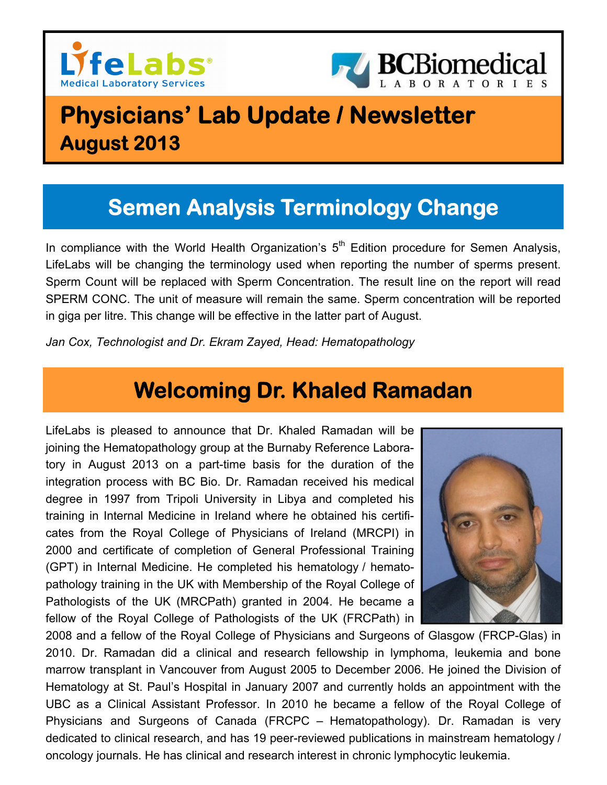



# **Physicians' Lab Update / Newsletter August 2013**

# **Semen Analysis Terminology Change**

In compliance with the World Health Organization's  $5<sup>th</sup>$  Edition procedure for Semen Analysis, LifeLabs will be changing the terminology used when reporting the number of sperms present. Sperm Count will be replaced with Sperm Concentration. The result line on the report will read SPERM CONC. The unit of measure will remain the same. Sperm concentration will be reported in giga per litre. This change will be effective in the latter part of August.

*Jan Cox, Technologist and Dr. Ekram Zayed, Head: Hematopathology* 

## **Welcoming Dr. Khaled Ramadan**

LifeLabs is pleased to announce that Dr. Khaled Ramadan will be joining the Hematopathology group at the Burnaby Reference Laboratory in August 2013 on a part-time basis for the duration of the integration process with BC Bio. Dr. Ramadan received his medical degree in 1997 from Tripoli University in Libya and completed his training in Internal Medicine in Ireland where he obtained his certificates from the Royal College of Physicians of Ireland (MRCPI) in 2000 and certificate of completion of General Professional Training (GPT) in Internal Medicine. He completed his hematology / hematopathology training in the UK with Membership of the Royal College of Pathologists of the UK (MRCPath) granted in 2004. He became a fellow of the Royal College of Pathologists of the UK (FRCPath) in



2008 and a fellow of the Royal College of Physicians and Surgeons of Glasgow (FRCP-Glas) in 2010. Dr. Ramadan did a clinical and research fellowship in lymphoma, leukemia and bone marrow transplant in Vancouver from August 2005 to December 2006. He joined the Division of Hematology at St. Paul's Hospital in January 2007 and currently holds an appointment with the UBC as a Clinical Assistant Professor. In 2010 he became a fellow of the Royal College of Physicians and Surgeons of Canada (FRCPC – Hematopathology). Dr. Ramadan is very dedicated to clinical research, and has 19 peer-reviewed publications in mainstream hematology / oncology journals. He has clinical and research interest in chronic lymphocytic leukemia.